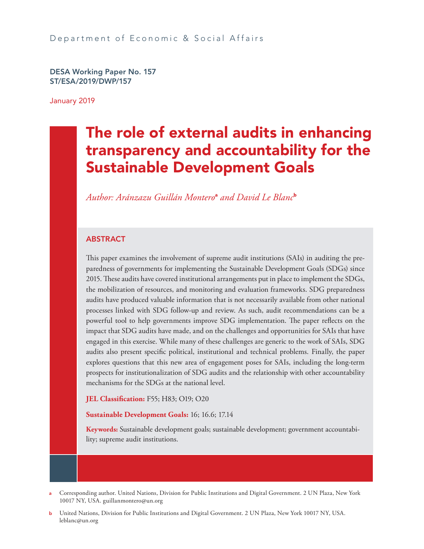#### Department of Economic & Social Affairs

DESA Working Paper No. 157 ST/ESA/2019/DWP/157

January 2019

# The role of external audits in enhancing transparency and accountability for the Sustainable Development Goals

*Author: Aránzazu Guillán Montero*<sup>a</sup>  *and David Le Blanc*<sup>b</sup>

#### ABSTRACT

This paper examines the involvement of supreme audit institutions (SAIs) in auditing the preparedness of governments for implementing the Sustainable Development Goals (SDGs) since 2015. These audits have covered institutional arrangements put in place to implement the SDGs, the mobilization of resources, and monitoring and evaluation frameworks. SDG preparedness audits have produced valuable information that is not necessarily available from other national processes linked with SDG follow-up and review. As such, audit recommendations can be a powerful tool to help governments improve SDG implementation. The paper reflects on the impact that SDG audits have made, and on the challenges and opportunities for SAIs that have engaged in this exercise. While many of these challenges are generic to the work of SAIs, SDG audits also present specific political, institutional and technical problems. Finally, the paper explores questions that this new area of engagement poses for SAIs, including the long-term prospects for institutionalization of SDG audits and the relationship with other accountability mechanisms for the SDGs at the national level.

**JEL Classification:** F55; H83; O19; O20

**Sustainable Development Goals:** 16; 16.6; 17.14

**Keywords:** Sustainable development goals; sustainable development; government accountability; supreme audit institutions.

b United Nations, Division for Public Institutions and Digital Government. 2 UN Plaza, New York 10017 NY, USA. leblanc@un.org

a Corresponding author. United Nations, Division for Public Institutions and Digital Government. 2 UN Plaza, New York 10017 NY, USA. guillanmontero@un.org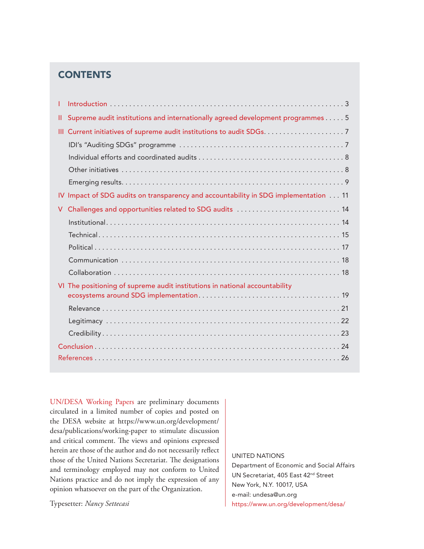### **CONTENTS**

| Ш. | Supreme audit institutions and internationally agreed development programmes 5      |
|----|-------------------------------------------------------------------------------------|
| Ш  |                                                                                     |
|    |                                                                                     |
|    |                                                                                     |
|    |                                                                                     |
|    |                                                                                     |
|    | IV Impact of SDG audits on transparency and accountability in SDG implementation 11 |
| V  | Challenges and opportunities related to SDG audits  14                              |
|    |                                                                                     |
|    |                                                                                     |
|    |                                                                                     |
|    |                                                                                     |
|    |                                                                                     |
|    | VI The positioning of supreme audit institutions in national accountability         |
|    |                                                                                     |
|    |                                                                                     |
|    |                                                                                     |
|    |                                                                                     |
|    |                                                                                     |
|    |                                                                                     |

UN/DESA Working Papers are preliminary documents circulated in a limited number of copies and posted on the DESA website at https://www.un.org/development/ desa/publications/working-paper to stimulate discussion and critical comment. The views and opinions expressed herein are those of the author and do not necessarily reflect those of the United Nations Secretariat. The designations and terminology employed may not conform to United Nations practice and do not imply the expression of any opinion whatsoever on the part of the Organization.

Typesetter: *Nancy Settecasi*

#### UNITED NATIONS

Department of Economic and Social Affairs UN Secretariat, 405 East 42<sup>nd</sup> Street New York, N.Y. 10017, USA e-mail: undesa@un.org https://www.un.org/development/desa/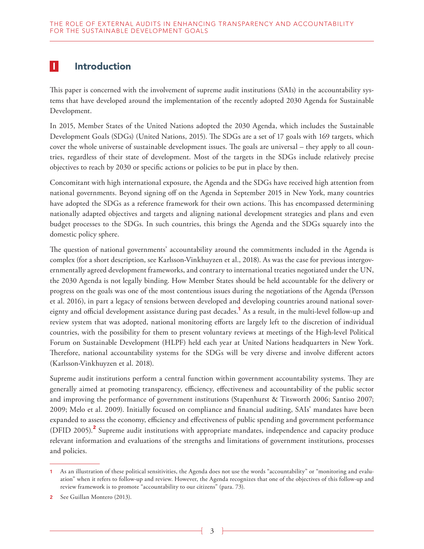### **I** Introduction

This paper is concerned with the involvement of supreme audit institutions (SAIs) in the accountability systems that have developed around the implementation of the recently adopted 2030 Agenda for Sustainable Development.

In 2015, Member States of the United Nations adopted the 2030 Agenda, which includes the Sustainable Development Goals (SDGs) (United Nations, 2015). The SDGs are a set of 17 goals with 169 targets, which cover the whole universe of sustainable development issues. The goals are universal – they apply to all countries, regardless of their state of development. Most of the targets in the SDGs include relatively precise objectives to reach by 2030 or specific actions or policies to be put in place by then.

Concomitant with high international exposure, the Agenda and the SDGs have received high attention from national governments. Beyond signing off on the Agenda in September 2015 in New York, many countries have adopted the SDGs as a reference framework for their own actions. This has encompassed determining nationally adapted objectives and targets and aligning national development strategies and plans and even budget processes to the SDGs. In such countries, this brings the Agenda and the SDGs squarely into the domestic policy sphere.

The question of national governments' accountability around the commitments included in the Agenda is complex (for a short description, see Karlsson-Vinkhuyzen et al., 2018). As was the case for previous intergovernmentally agreed development frameworks, and contrary to international treaties negotiated under the UN, the 2030 Agenda is not legally binding. How Member States should be held accountable for the delivery or progress on the goals was one of the most contentious issues during the negotiations of the Agenda (Persson et al. 2016), in part a legacy of tensions between developed and developing countries around national sovereignty and official development assistance during past decades.<sup>1</sup> As a result, in the multi-level follow-up and review system that was adopted, national monitoring efforts are largely left to the discretion of individual countries, with the possibility for them to present voluntary reviews at meetings of the High-level Political Forum on Sustainable Development (HLPF) held each year at United Nations headquarters in New York. Therefore, national accountability systems for the SDGs will be very diverse and involve different actors (Karlsson-Vinkhuyzen et al. 2018).

Supreme audit institutions perform a central function within government accountability systems. They are generally aimed at promoting transparency, efficiency, effectiveness and accountability of the public sector and improving the performance of government institutions (Stapenhurst & Titsworth 2006; Santiso 2007; 2009; Melo et al. 2009). Initially focused on compliance and financial auditing, SAIs' mandates have been expanded to assess the economy, efficiency and effectiveness of public spending and government performance (DFID 2005).<sup>2</sup> Supreme audit institutions with appropriate mandates, independence and capacity produce relevant information and evaluations of the strengths and limitations of government institutions, processes and policies.

<sup>1</sup> As an illustration of these political sensitivities, the Agenda does not use the words "accountability" or "monitoring and evaluation" when it refers to follow-up and review. However, the Agenda recognizes that one of the objectives of this follow-up and review framework is to promote "accountability to our citizens" (para. 73).

<sup>2</sup> See Guillan Montero (2013).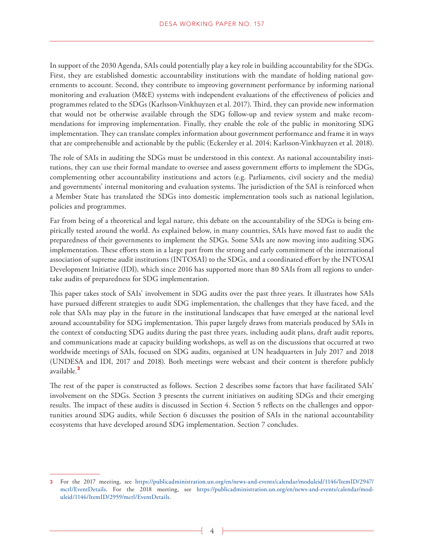In support of the 2030 Agenda, SAIs could potentially play a key role in building accountability for the SDGs. First, they are established domestic accountability institutions with the mandate of holding national governments to account. Second, they contribute to improving government performance by informing national monitoring and evaluation (M&E) systems with independent evaluations of the effectiveness of policies and programmes related to the SDGs (Karlsson-Vinkhuyzen et al. 2017). Third, they can provide new information that would not be otherwise available through the SDG follow-up and review system and make recommendations for improving implementation. Finally, they enable the role of the public in monitoring SDG implementation. They can translate complex information about government performance and frame it in ways that are comprehensible and actionable by the public (Eckersley et al. 2014; Karlsson-Vinkhuyzen et al. 2018).

The role of SAIs in auditing the SDGs must be understood in this context. As national accountability institutions, they can use their formal mandate to oversee and assess government efforts to implement the SDGs, complementing other accountability institutions and actors (e.g. Parliaments, civil society and the media) and governments' internal monitoring and evaluation systems. The jurisdiction of the SAI is reinforced when a Member State has translated the SDGs into domestic implementation tools such as national legislation, policies and programmes.

Far from being of a theoretical and legal nature, this debate on the accountability of the SDGs is being empirically tested around the world. As explained below, in many countries, SAIs have moved fast to audit the preparedness of their governments to implement the SDGs. Some SAIs are now moving into auditing SDG implementation. These efforts stem in a large part from the strong and early commitment of the international association of supreme audit institutions (INTOSAI) to the SDGs, and a coordinated effort by the INTOSAI Development Initiative (IDI), which since 2016 has supported more than 80 SAIs from all regions to undertake audits of preparedness for SDG implementation.

This paper takes stock of SAIs' involvement in SDG audits over the past three years. It illustrates how SAIs have pursued different strategies to audit SDG implementation, the challenges that they have faced, and the role that SAIs may play in the future in the institutional landscapes that have emerged at the national level around accountability for SDG implementation. This paper largely draws from materials produced by SAIs in the context of conducting SDG audits during the past three years, including audit plans, draft audit reports, and communications made at capacity building workshops, as well as on the discussions that occurred at two worldwide meetings of SAIs, focused on SDG audits, organised at UN headquarters in July 2017 and 2018 (UNDESA and IDI, 2017 and 2018). Both meetings were webcast and their content is therefore publicly available.<sup>3</sup>

The rest of the paper is constructed as follows. Section 2 describes some factors that have facilitated SAIs' involvement on the SDGs. Section 3 presents the current initiatives on auditing SDGs and their emerging results. The impact of these audits is discussed in Section 4. Section 5 reflects on the challenges and opportunities around SDG audits, while Section 6 discusses the position of SAIs in the national accountability ecosystems that have developed around SDG implementation. Section 7 concludes.

<sup>3</sup> For the 2017 meeting, see https://publicadministration.un.org/en/news-and-events/calendar/moduleid/1146/ItemID/2947/ mctl/EventDetails. For the 2018 meeting, see https://publicadministration.un.org/en/news-and-events/calendar/moduleid/1146/ItemID/2959/mctl/EventDetails.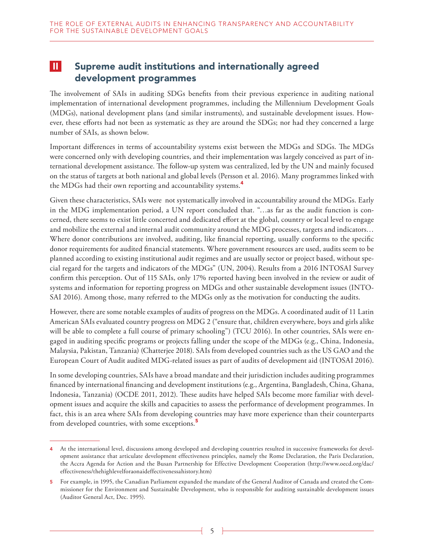### **II** Supreme audit institutions and internationally agreed development programmes

The involvement of SAIs in auditing SDGs benefits from their previous experience in auditing national implementation of international development programmes, including the Millennium Development Goals (MDGs), national development plans (and similar instruments), and sustainable development issues. However, these efforts had not been as systematic as they are around the SDGs; nor had they concerned a large number of SAIs, as shown below.

Important differences in terms of accountability systems exist between the MDGs and SDGs. The MDGs were concerned only with developing countries, and their implementation was largely conceived as part of international development assistance. The follow-up system was centralized, led by the UN and mainly focused on the status of targets at both national and global levels (Persson et al. 2016). Many programmes linked with the MDGs had their own reporting and accountability systems.<sup>4</sup>

Given these characteristics, SAIs were not systematically involved in accountability around the MDGs. Early in the MDG implementation period, a UN report concluded that. "…as far as the audit function is concerned, there seems to exist little concerted and dedicated effort at the global, country or local level to engage and mobilize the external and internal audit community around the MDG processes, targets and indicators… Where donor contributions are involved, auditing, like financial reporting, usually conforms to the specific donor requirements for audited financial statements. Where government resources are used, audits seem to be planned according to existing institutional audit regimes and are usually sector or project based, without special regard for the targets and indicators of the MDGs" (UN, 2004). Results from a 2016 INTOSAI Survey confirm this perception. Out of 115 SAIs, only 17% reported having been involved in the review or audit of systems and information for reporting progress on MDGs and other sustainable development issues (INTO-SAI 2016). Among those, many referred to the MDGs only as the motivation for conducting the audits.

However, there are some notable examples of audits of progress on the MDGs. A coordinated audit of 11 Latin American SAIs evaluated country progress on MDG 2 ("ensure that, children everywhere, boys and girls alike will be able to complete a full course of primary schooling") (TCU 2016). In other countries, SAIs were engaged in auditing specific programs or projects falling under the scope of the MDGs (e.g., China, Indonesia, Malaysia, Pakistan, Tanzania) (Chatterjee 2018). SAIs from developed countries such as the US GAO and the European Court of Audit audited MDG-related issues as part of audits of development aid (INTOSAI 2016).

In some developing countries, SAIs have a broad mandate and their jurisdiction includes auditing programmes financed by international financing and development institutions (e.g., Argentina, Bangladesh, China, Ghana, Indonesia, Tanzania) (OCDE 2011, 2012). These audits have helped SAIs become more familiar with development issues and acquire the skills and capacities to assess the performance of development programmes. In fact, this is an area where SAIs from developing countries may have more experience than their counterparts from developed countries, with some exceptions.<sup>5</sup>

<sup>4</sup> At the international level, discussions among developed and developing countries resulted in successive frameworks for development assistance that articulate development effectiveness principles, namely the Rome Declaration, the Paris Declaration, the Accra Agenda for Action and the Busan Partnership for Effective Development Cooperation (http://www.oecd.org/dac/ effectiveness/thehighlevelforaonaideffectivenessahistory.htm)

<sup>5</sup> For example, in 1995, the Canadian Parliament expanded the mandate of the General Auditor of Canada and created the Commissioner for the Environment and Sustainable Development, who is responsible for auditing sustainable development issues (Auditor General Act, Dec. 1995).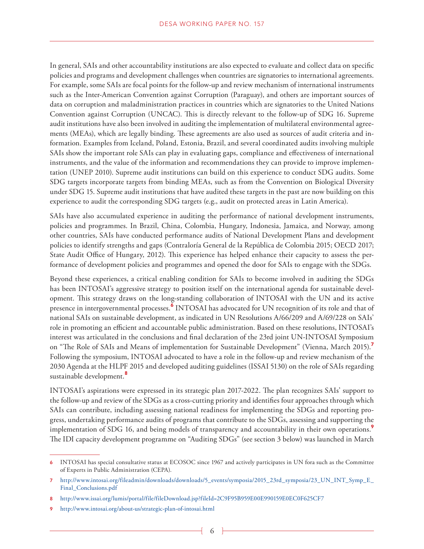In general, SAIs and other accountability institutions are also expected to evaluate and collect data on specific policies and programs and development challenges when countries are signatories to international agreements. For example, some SAIs are focal points for the follow-up and review mechanism of international instruments such as the Inter-American Convention against Corruption (Paraguay), and others are important sources of data on corruption and maladministration practices in countries which are signatories to the United Nations Convention against Corruption (UNCAC). This is directly relevant to the follow-up of SDG 16. Supreme audit institutions have also been involved in auditing the implementation of multilateral environmental agreements (MEAs), which are legally binding. These agreements are also used as sources of audit criteria and information. Examples from Iceland, Poland, Estonia, Brazil, and several coordinated audits involving multiple SAIs show the important role SAIs can play in evaluating gaps, compliance and effectiveness of international instruments, and the value of the information and recommendations they can provide to improve implementation (UNEP 2010). Supreme audit institutions can build on this experience to conduct SDG audits. Some SDG targets incorporate targets from binding MEAs, such as from the Convention on Biological Diversity under SDG 15. Supreme audit institutions that have audited these targets in the past are now building on this experience to audit the corresponding SDG targets (e.g., audit on protected areas in Latin America).

SAIs have also accumulated experience in auditing the performance of national development instruments, policies and programmes. In Brazil, China, Colombia, Hungary, Indonesia, Jamaica, and Norway, among other countries, SAIs have conducted performance audits of National Development Plans and development policies to identify strengths and gaps (Contraloría General de la República de Colombia 2015; OECD 2017; State Audit Office of Hungary, 2012). This experience has helped enhance their capacity to assess the performance of development policies and programmes and opened the door for SAIs to engage with the SDGs.

Beyond these experiences, a critical enabling condition for SAIs to become involved in auditing the SDGs has been INTOSAI's aggressive strategy to position itself on the international agenda for sustainable development. This strategy draws on the long-standing collaboration of INTOSAI with the UN and its active presence in intergovernmental processes.<sup>6</sup> INTOSAI has advocated for UN recognition of its role and that of national SAIs on sustainable development, as indicated in UN Resolutions A/66/209 and A/69/228 on SAIs' role in promoting an efficient and accountable public administration. Based on these resolutions, INTOSAI's interest was articulated in the conclusions and final declaration of the 23rd joint UN-INTOSAI Symposium on "The Role of SAIs and Means of implementation for Sustainable Development" (Vienna, March 2015).<sup>7</sup> Following the symposium, INTOSAI advocated to have a role in the follow-up and review mechanism of the 2030 Agenda at the HLPF 2015 and developed auditing guidelines (ISSAI 5130) on the role of SAIs regarding sustainable development.<sup>8</sup>

INTOSAI's aspirations were expressed in its strategic plan 2017-2022. The plan recognizes SAIs' support to the follow-up and review of the SDGs as a cross-cutting priority and identifies four approaches through which SAIs can contribute, including assessing national readiness for implementing the SDGs and reporting progress, undertaking performance audits of programs that contribute to the SDGs, assessing and supporting the implementation of SDG 16, and being models of transparency and accountability in their own operations.<sup>9</sup> The IDI capacity development programme on "Auditing SDGs" (see section 3 below) was launched in March

<sup>6</sup> INTOSAI has special consultative status at ECOSOC since 1967 and actively participates in UN fora such as the Committee of Experts in Public Administration (CEPA).

<sup>7</sup> http://www.intosai.org/fileadmin/downloads/downloads/5\_events/symposia/2015\_23rd\_symposia/23\_UN\_INT\_Symp\_E\_ Final\_Conclusions.pdf

<sup>8</sup> http://www.issai.org/lumis/portal/file/fileDownload.jsp?fileId=2C9F95B959E00E990159E0EC0F625CF7

<sup>9</sup> http://www.intosai.org/about-us/strategic-plan-of-intosai.html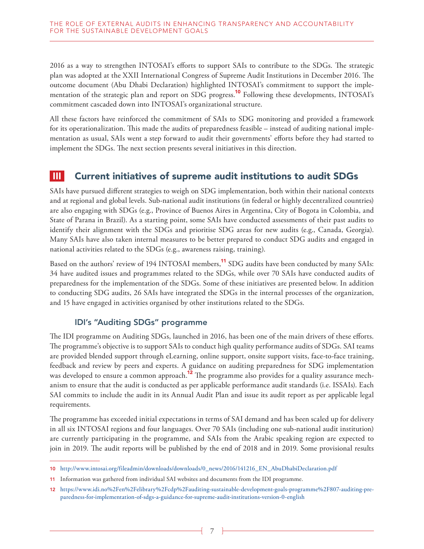2016 as a way to strengthen INTOSAI's efforts to support SAIs to contribute to the SDGs. The strategic plan was adopted at the XXII International Congress of Supreme Audit Institutions in December 2016. The outcome document (Abu Dhabi Declaration) highlighted INTOSAI's commitment to support the implementation of the strategic plan and report on SDG progress.<sup>10</sup> Following these developments, INTOSAI's commitment cascaded down into INTOSAI's organizational structure.

All these factors have reinforced the commitment of SAIs to SDG monitoring and provided a framework for its operationalization. This made the audits of preparedness feasible – instead of auditing national implementation as usual, SAIs went a step forward to audit their governments' efforts before they had started to implement the SDGs. The next section presents several initiatives in this direction.

### III Current initiatives of supreme audit institutions to audit SDGs

SAIs have pursued different strategies to weigh on SDG implementation, both within their national contexts and at regional and global levels. Sub-national audit institutions (in federal or highly decentralized countries) are also engaging with SDGs (e.g., Province of Buenos Aires in Argentina, City of Bogota in Colombia, and State of Parana in Brazil). As a starting point, some SAIs have conducted assessments of their past audits to identify their alignment with the SDGs and prioritise SDG areas for new audits (e.g., Canada, Georgia). Many SAIs have also taken internal measures to be better prepared to conduct SDG audits and engaged in national activities related to the SDGs (e.g., awareness raising, training).

Based on the authors' review of 194 INTOSAI members,<sup>11</sup> SDG audits have been conducted by many SAIs: 34 have audited issues and programmes related to the SDGs, while over 70 SAIs have conducted audits of preparedness for the implementation of the SDGs. Some of these initiatives are presented below. In addition to conducting SDG audits, 26 SAIs have integrated the SDGs in the internal processes of the organization, and 15 have engaged in activities organised by other institutions related to the SDGs.

#### IDI's "Auditing SDGs" programme

The IDI programme on Auditing SDGs, launched in 2016, has been one of the main drivers of these efforts. The programme's objective is to support SAIs to conduct high quality performance audits of SDGs. SAI teams are provided blended support through eLearning, online support, onsite support visits, face-to-face training, feedback and review by peers and experts. A guidance on auditing preparedness for SDG implementation was developed to ensure a common approach.<sup>12</sup> The programme also provides for a quality assurance mechanism to ensure that the audit is conducted as per applicable performance audit standards (i.e. ISSAIs). Each SAI commits to include the audit in its Annual Audit Plan and issue its audit report as per applicable legal requirements.

The programme has exceeded initial expectations in terms of SAI demand and has been scaled up for delivery in all six INTOSAI regions and four languages. Over 70 SAIs (including one sub-national audit institution) are currently participating in the programme, and SAIs from the Arabic speaking region are expected to join in 2019. The audit reports will be published by the end of 2018 and in 2019. Some provisional results

<sup>10</sup> http://www.intosai.org/fileadmin/downloads/downloads/0\_news/2016/141216\_EN\_AbuDhabiDeclaration.pdf

<sup>11</sup> Information was gathered from individual SAI websites and documents from the IDI programme.

<sup>12</sup> https://www.idi.no%2Fen%2Felibrary%2Fcdp%2Fauditing-sustainable-development-goals-programme%2F807-auditing-preparedness-for-implementation-of-sdgs-a-guidance-for-supreme-audit-institutions-version-0-english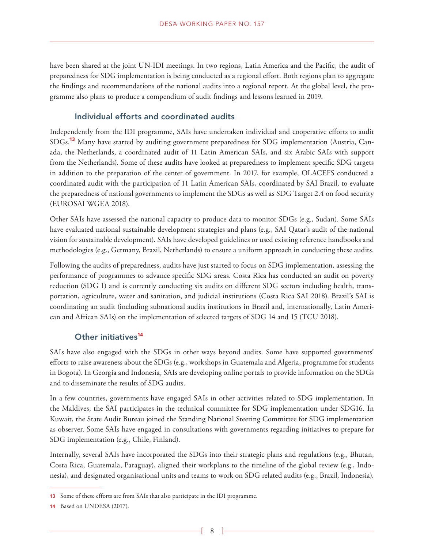have been shared at the joint UN-IDI meetings. In two regions, Latin America and the Pacific, the audit of preparedness for SDG implementation is being conducted as a regional effort. Both regions plan to aggregate the findings and recommendations of the national audits into a regional report. At the global level, the programme also plans to produce a compendium of audit findings and lessons learned in 2019.

#### Individual efforts and coordinated audits

Independently from the IDI programme, SAIs have undertaken individual and cooperative efforts to audit SDGs.<sup>13</sup> Many have started by auditing government preparedness for SDG implementation (Austria, Canada, the Netherlands, a coordinated audit of 11 Latin American SAIs, and six Arabic SAIs with support from the Netherlands). Some of these audits have looked at preparedness to implement specific SDG targets in addition to the preparation of the center of government. In 2017, for example, OLACEFS conducted a coordinated audit with the participation of 11 Latin American SAIs, coordinated by SAI Brazil, to evaluate the preparedness of national governments to implement the SDGs as well as SDG Target 2.4 on food security (EUROSAI WGEA 2018).

Other SAIs have assessed the national capacity to produce data to monitor SDGs (e.g., Sudan). Some SAIs have evaluated national sustainable development strategies and plans (e.g., SAI Qatar's audit of the national vision for sustainable development). SAIs have developed guidelines or used existing reference handbooks and methodologies (e.g., Germany, Brazil, Netherlands) to ensure a uniform approach in conducting these audits.

Following the audits of preparedness, audits have just started to focus on SDG implementation, assessing the performance of programmes to advance specific SDG areas. Costa Rica has conducted an audit on poverty reduction (SDG 1) and is currently conducting six audits on different SDG sectors including health, transportation, agriculture, water and sanitation, and judicial institutions (Costa Rica SAI 2018). Brazil's SAI is coordinating an audit (including subnational audits institutions in Brazil and, internationally, Latin American and African SAIs) on the implementation of selected targets of SDG 14 and 15 (TCU 2018).

#### Other initiatives<sup>14</sup>

SAIs have also engaged with the SDGs in other ways beyond audits. Some have supported governments' efforts to raise awareness about the SDGs (e.g., workshops in Guatemala and Algeria, programme for students in Bogota). In Georgia and Indonesia, SAIs are developing online portals to provide information on the SDGs and to disseminate the results of SDG audits.

In a few countries, governments have engaged SAIs in other activities related to SDG implementation. In the Maldives, the SAI participates in the technical committee for SDG implementation under SDG16. In Kuwait, the State Audit Bureau joined the Standing National Steering Committee for SDG implementation as observer. Some SAIs have engaged in consultations with governments regarding initiatives to prepare for SDG implementation (e.g., Chile, Finland).

Internally, several SAIs have incorporated the SDGs into their strategic plans and regulations (e.g., Bhutan, Costa Rica, Guatemala, Paraguay), aligned their workplans to the timeline of the global review (e.g., Indonesia), and designated organisational units and teams to work on SDG related audits (e.g., Brazil, Indonesia).

<sup>13</sup> Some of these efforts are from SAIs that also participate in the IDI programme.

<sup>14</sup> Based on UNDESA (2017).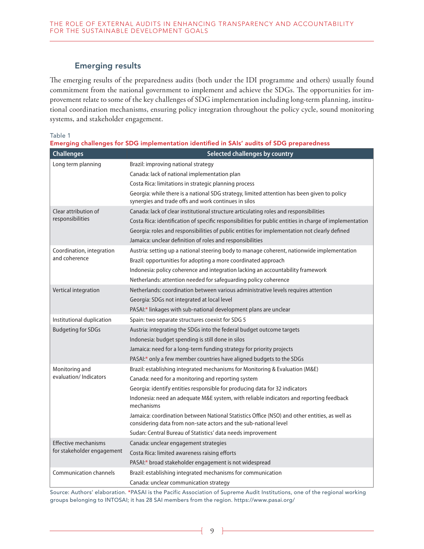#### Emerging results

The emerging results of the preparedness audits (both under the IDI programme and others) usually found commitment from the national government to implement and achieve the SDGs. The opportunities for improvement relate to some of the key challenges of SDG implementation including long-term planning, institutional coordination mechanisms, ensuring policy integration throughout the policy cycle, sound monitoring systems, and stakeholder engagement.

Table 1

|  |  |  |  | Emerging challenges for SDG implementation identified in SAIs' audits of SDG preparedness |
|--|--|--|--|-------------------------------------------------------------------------------------------|
|--|--|--|--|-------------------------------------------------------------------------------------------|

| <b>Challenges</b>             | Selected challenges by country                                                                                                                                    |  |  |  |
|-------------------------------|-------------------------------------------------------------------------------------------------------------------------------------------------------------------|--|--|--|
| Long term planning            | Brazil: improving national strategy                                                                                                                               |  |  |  |
|                               | Canada: lack of national implementation plan                                                                                                                      |  |  |  |
|                               | Costa Rica: limitations in strategic planning process                                                                                                             |  |  |  |
|                               | Georgia: while there is a national SDG strategy, limited attention has been given to policy<br>synergies and trade offs and work continues in silos               |  |  |  |
| Clear attribution of          | Canada: lack of clear institutional structure articulating roles and responsibilities                                                                             |  |  |  |
| responsibilities              | Costa Rica: identification of specific responsibilities for public entities in charge of implementation                                                           |  |  |  |
|                               | Georgia: roles and responsibilities of public entities for implementation not clearly defined                                                                     |  |  |  |
|                               | Jamaica: unclear definition of roles and responsibilities                                                                                                         |  |  |  |
| Coordination, integration     | Austria: setting up a national steering body to manage coherent, nationwide implementation                                                                        |  |  |  |
| and coherence                 | Brazil: opportunities for adopting a more coordinated approach                                                                                                    |  |  |  |
|                               | Indonesia: policy coherence and integration lacking an accountability framework                                                                                   |  |  |  |
|                               | Netherlands: attention needed for safeguarding policy coherence                                                                                                   |  |  |  |
| Vertical integration          | Netherlands: coordination between various administrative levels requires attention                                                                                |  |  |  |
|                               | Georgia: SDGs not integrated at local level                                                                                                                       |  |  |  |
|                               | PASAI:* linkages with sub-national development plans are unclear                                                                                                  |  |  |  |
| Institutional duplication     | Spain: two separate structures coexist for SDG 5                                                                                                                  |  |  |  |
| <b>Budgeting for SDGs</b>     | Austria: integrating the SDGs into the federal budget outcome targets                                                                                             |  |  |  |
|                               | Indonesia: budget spending is still done in silos                                                                                                                 |  |  |  |
|                               | Jamaica: need for a long-term funding strategy for priority projects                                                                                              |  |  |  |
|                               | PASAI:* only a few member countries have aligned budgets to the SDGs                                                                                              |  |  |  |
| Monitoring and                | Brazil: establishing integrated mechanisms for Monitoring & Evaluation (M&E)                                                                                      |  |  |  |
| evaluation/Indicators         | Canada: need for a monitoring and reporting system                                                                                                                |  |  |  |
|                               | Georgia: identify entities responsible for producing data for 32 indicators                                                                                       |  |  |  |
|                               | Indonesia: need an adequate M&E system, with reliable indicators and reporting feedback<br>mechanisms                                                             |  |  |  |
|                               | Jamaica: coordination between National Statistics Office (NSO) and other entities, as well as<br>considering data from non-sate actors and the sub-national level |  |  |  |
|                               | Sudan: Central Bureau of Statistics' data needs improvement                                                                                                       |  |  |  |
| <b>Effective mechanisms</b>   | Canada: unclear engagement strategies                                                                                                                             |  |  |  |
| for stakeholder engagement    | Costa Rica: limited awareness raising efforts                                                                                                                     |  |  |  |
|                               | PASAI:* broad stakeholder engagement is not widespread                                                                                                            |  |  |  |
| <b>Communication channels</b> | Brazil: establishing integrated mechanisms for communication                                                                                                      |  |  |  |
|                               | Canada: unclear communication strategy                                                                                                                            |  |  |  |

Source: Authors' elaboration. \*PASAI is the Pacific Association of Supreme Audit Institutions, one of the regional working groups belonging to INTOSAI; it has 28 SAI members from the region. https://www.pasai.org/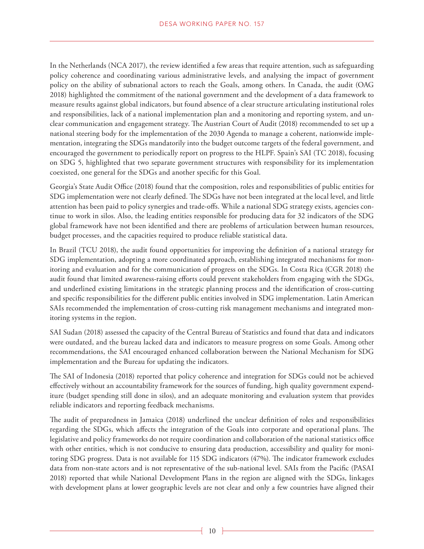In the Netherlands (NCA 2017), the review identified a few areas that require attention, such as safeguarding policy coherence and coordinating various administrative levels, and analysing the impact of government policy on the ability of subnational actors to reach the Goals, among others. In Canada, the audit (OAG 2018) highlighted the commitment of the national government and the development of a data framework to measure results against global indicators, but found absence of a clear structure articulating institutional roles and responsibilities, lack of a national implementation plan and a monitoring and reporting system, and unclear communication and engagement strategy. The Austrian Court of Audit (2018) recommended to set up a national steering body for the implementation of the 2030 Agenda to manage a coherent, nationwide implementation, integrating the SDGs mandatorily into the budget outcome targets of the federal government, and encouraged the government to periodically report on progress to the HLPF. Spain's SAI (TC 2018), focusing on SDG 5, highlighted that two separate government structures with responsibility for its implementation coexisted, one general for the SDGs and another specific for this Goal.

Georgia's State Audit Office (2018) found that the composition, roles and responsibilities of public entities for SDG implementation were not clearly defined. The SDGs have not been integrated at the local level, and little attention has been paid to policy synergies and trade-offs. While a national SDG strategy exists, agencies continue to work in silos. Also, the leading entities responsible for producing data for 32 indicators of the SDG global framework have not been identified and there are problems of articulation between human resources, budget processes, and the capacities required to produce reliable statistical data.

In Brazil (TCU 2018), the audit found opportunities for improving the definition of a national strategy for SDG implementation, adopting a more coordinated approach, establishing integrated mechanisms for monitoring and evaluation and for the communication of progress on the SDGs. In Costa Rica (CGR 2018) the audit found that limited awareness-raising efforts could prevent stakeholders from engaging with the SDGs, and underlined existing limitations in the strategic planning process and the identification of cross-cutting and specific responsibilities for the different public entities involved in SDG implementation. Latin American SAIs recommended the implementation of cross-cutting risk management mechanisms and integrated monitoring systems in the region.

SAI Sudan (2018) assessed the capacity of the Central Bureau of Statistics and found that data and indicators were outdated, and the bureau lacked data and indicators to measure progress on some Goals. Among other recommendations, the SAI encouraged enhanced collaboration between the National Mechanism for SDG implementation and the Bureau for updating the indicators.

The SAI of Indonesia (2018) reported that policy coherence and integration for SDGs could not be achieved effectively without an accountability framework for the sources of funding, high quality government expenditure (budget spending still done in silos), and an adequate monitoring and evaluation system that provides reliable indicators and reporting feedback mechanisms.

The audit of preparedness in Jamaica (2018) underlined the unclear definition of roles and responsibilities regarding the SDGs, which affects the integration of the Goals into corporate and operational plans. The legislative and policy frameworks do not require coordination and collaboration of the national statistics office with other entities, which is not conducive to ensuring data production, accessibility and quality for monitoring SDG progress. Data is not available for 115 SDG indicators (47%). The indicator framework excludes data from non-state actors and is not representative of the sub-national level. SAIs from the Pacific (PASAI 2018) reported that while National Development Plans in the region are aligned with the SDGs, linkages with development plans at lower geographic levels are not clear and only a few countries have aligned their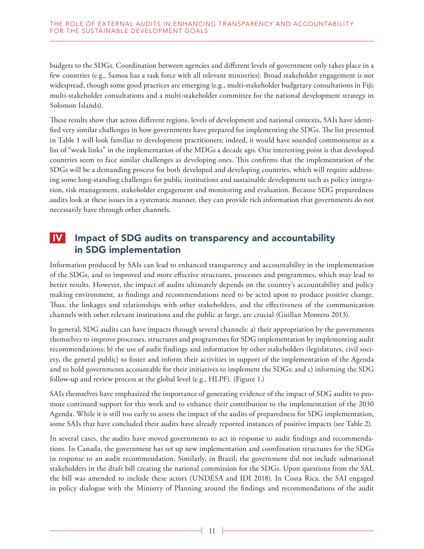budgets to the SDGs. Coordination between agencies and different levels of government only takes place in a few countries (e.g., Samoa has a task force with all relevant ministries). Broad stakeholder engagement is not widespread, though some good practices are emerging (e.g., multi-stakeholder budgetary consultations in Fiji; multi-stakeholder consultations and a multi-stakeholder committee for the national development strategy in Solomon Islands).

These results show that across different regions, levels of development and national contexts, SAIs have identified very similar challenges in how governments have prepared for implementing the SDGs. The list presented in Table 1 will look familiar to development practitioners; indeed, it would have sounded commonsense as a list of "weak links" in the implementation of the MDGs a decade ago. One interesting point is that developed countries seem to face similar challenges as developing ones. This confirms that the implementation of the SDGs will be a demanding process for both developed and developing countries, which will require addressing some long-standing challenges for public institutions and sustainable development such as policy integration, risk management, stakeholder engagement and monitoring and evaluation. Because SDG preparedness audits look at these issues in a systematic manner, they can provide rich information that governments do not necessarily have through other channels.

### IV Impact of SDG audits on transparency and accountability in SDG implementation

Information produced by SAIs can lead to enhanced transparency and accountability in the implementation of the SDGs, and to improved and more effective structures, processes and programmes, which may lead to better results. However, the impact of audits ultimately depends on the country's accountability and policy making environment, as findings and recommendations need to be acted upon to produce positive change. Thus, the linkages and relationships with other stakeholders, and the effectiveness of the communication channels with other relevant institutions and the public at large, are crucial (Guillan Montero 2013).

In general, SDG audits can have impacts through several channels: a) their appropriation by the governments themselves to improve processes, structures and programmes for SDG implementation by implementing audit recommendations; b) the use of audit findings and information by other stakeholders (legislatures, civil society, the general public) to foster and inform their activities in support of the implementation of the Agenda and to hold governments accountable for their initiatives to implement the SDGs; and c) informing the SDG follow-up and review process at the global level (e.g., HLPF). (Figure 1.)

SAIs themselves have emphasized the importance of generating evidence of the impact of SDG audits to promote continued support for this work and to enhance their contribution to the implementation of the 2030 Agenda. While it is still too early to assess the impact of the audits of preparedness for SDG implementation, some SAIs that have concluded their audits have already reported instances of positive impacts (see Table 2).

In several cases, the audits have moved governments to act in response to audit findings and recommendations. In Canada, the government has set up new implementation and coordination structures for the SDGs in response to an audit recommendation. Similarly, in Brazil, the government did not include subnational stakeholders in the draft bill creating the national commission for the SDGs. Upon questions from the SAI, the bill was amended to include these actors (UNDESA and IDI 2018). In Costa Rica, the SAI engaged in policy dialogue with the Ministry of Planning around the findings and recommendations of the audit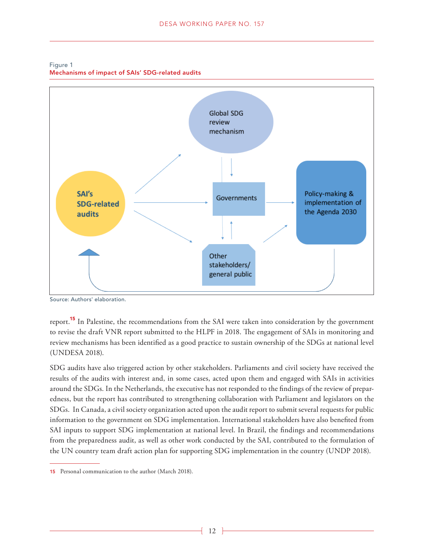

Figure 1 Mechanisms of impact of SAIs' SDG-related audits

Source: Authors' elaboration.

report.<sup>15</sup> In Palestine, the recommendations from the SAI were taken into consideration by the government to revise the draft VNR report submitted to the HLPF in 2018. The engagement of SAIs in monitoring and review mechanisms has been identified as a good practice to sustain ownership of the SDGs at national level (UNDESA 2018).

SDG audits have also triggered action by other stakeholders. Parliaments and civil society have received the results of the audits with interest and, in some cases, acted upon them and engaged with SAIs in activities around the SDGs. In the Netherlands, the executive has not responded to the findings of the review of preparedness, but the report has contributed to strengthening collaboration with Parliament and legislators on the SDGs. In Canada, a civil society organization acted upon the audit report to submit several requests for public information to the government on SDG implementation. International stakeholders have also benefited from SAI inputs to support SDG implementation at national level. In Brazil, the findings and recommendations from the preparedness audit, as well as other work conducted by the SAI, contributed to the formulation of the UN country team draft action plan for supporting SDG implementation in the country (UNDP 2018).

<sup>15</sup> Personal communication to the author (March 2018).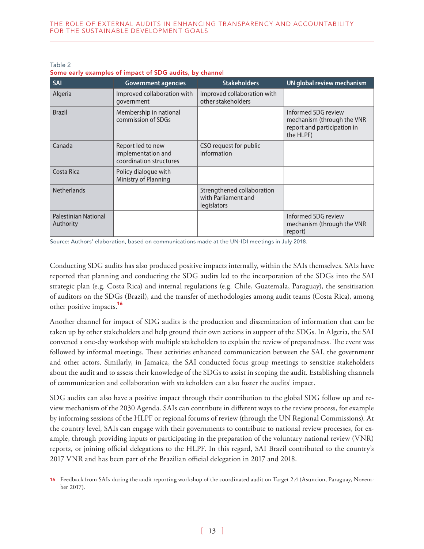Table 2 Some early examples of impact of SDG audits, by channel

| <b>SAI</b>                                      | <b>Government agencies</b>                                         | <b>Stakeholders</b>                                                     | UN global review mechanism                                                                    |
|-------------------------------------------------|--------------------------------------------------------------------|-------------------------------------------------------------------------|-----------------------------------------------------------------------------------------------|
| Algeria                                         | Improved collaboration with<br>government                          | Improved collaboration with<br>other stakeholders                       |                                                                                               |
| <b>Brazil</b>                                   | Membership in national<br>commission of SDGs                       |                                                                         | Informed SDG review<br>mechanism (through the VNR<br>report and participation in<br>the HLPF) |
| Canada                                          | Report led to new<br>implementation and<br>coordination structures | CSO request for public<br>information                                   |                                                                                               |
| Costa Rica                                      | Policy dialogue with<br>Ministry of Planning                       |                                                                         |                                                                                               |
| <b>Netherlands</b>                              |                                                                    | Strengthened collaboration<br>with Parliament and<br><b>legislators</b> |                                                                                               |
| <b>Palestinian National</b><br><b>Authority</b> |                                                                    |                                                                         | Informed SDG review<br>mechanism (through the VNR<br>report)                                  |

Source: Authors' elaboration, based on communications made at the UN-IDI meetings in July 2018.

Conducting SDG audits has also produced positive impacts internally, within the SAIs themselves. SAIs have reported that planning and conducting the SDG audits led to the incorporation of the SDGs into the SAI strategic plan (e.g. Costa Rica) and internal regulations (e.g. Chile, Guatemala, Paraguay), the sensitisation of auditors on the SDGs (Brazil), and the transfer of methodologies among audit teams (Costa Rica), among other positive impacts.<sup>16</sup>

Another channel for impact of SDG audits is the production and dissemination of information that can be taken up by other stakeholders and help ground their own actions in support of the SDGs. In Algeria, the SAI convened a one-day workshop with multiple stakeholders to explain the review of preparedness. The event was followed by informal meetings. These activities enhanced communication between the SAI, the government and other actors. Similarly, in Jamaica, the SAI conducted focus group meetings to sensitize stakeholders about the audit and to assess their knowledge of the SDGs to assist in scoping the audit. Establishing channels of communication and collaboration with stakeholders can also foster the audits' impact.

SDG audits can also have a positive impact through their contribution to the global SDG follow up and review mechanism of the 2030 Agenda. SAIs can contribute in different ways to the review process, for example by informing sessions of the HLPF or regional forums of review (through the UN Regional Commissions). At the country level, SAIs can engage with their governments to contribute to national review processes, for example, through providing inputs or participating in the preparation of the voluntary national review (VNR) reports, or joining official delegations to the HLPF. In this regard, SAI Brazil contributed to the country's 2017 VNR and has been part of the Brazilian official delegation in 2017 and 2018.

<sup>16</sup> Feedback from SAIs during the audit reporting workshop of the coordinated audit on Target 2.4 (Asuncion, Paraguay, November 2017).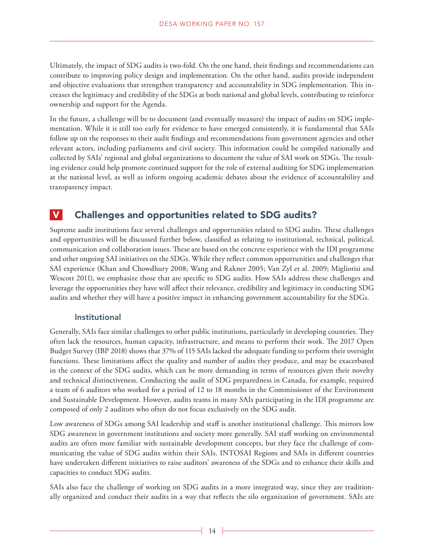Ultimately, the impact of SDG audits is two-fold. On the one hand, their findings and recommendations can contribute to improving policy design and implementation. On the other hand, audits provide independent and objective evaluations that strengthen transparency and accountability in SDG implementation. This increases the legitimacy and credibility of the SDGs at both national and global levels, contributing to reinforce ownership and support for the Agenda.

In the future, a challenge will be to document (and eventually measure) the impact of audits on SDG implementation. While it is still too early for evidence to have emerged consistently, it is fundamental that SAIs follow up on the responses to their audit findings and recommendations from government agencies and other relevant actors, including parliaments and civil society. This information could be compiled nationally and collected by SAIs' regional and global organizations to document the value of SAI work on SDGs. The resulting evidence could help promote continued support for the role of external auditing for SDG implementation at the national level, as well as inform ongoing academic debates about the evidence of accountability and transparency impact.

### V Challenges and opportunities related to SDG audits?

Supreme audit institutions face several challenges and opportunities related to SDG audits. These challenges and opportunities will be discussed further below, classified as relating to institutional, technical, political, communication and collaboration issues. These are based on the concrete experience with the IDI programme and other ongoing SAI initiatives on the SDGs. While they reflect common opportunities and challenges that SAI experience (Khan and Chowdhury 2008; Wang and Rakner 2005; Van Zyl et al. 2009; Migliorisi and Wescott 2011), we emphasize those that are specific to SDG audits. How SAIs address these challenges and leverage the opportunities they have will affect their relevance, credibility and legitimacy in conducting SDG audits and whether they will have a positive impact in enhancing government accountability for the SDGs.

#### Institutional

Generally, SAIs face similar challenges to other public institutions, particularly in developing countries. They often lack the resources, human capacity, infrastructure, and means to perform their work. The 2017 Open Budget Survey (IBP 2018) shows that 37% of 115 SAIs lacked the adequate funding to perform their oversight functions. These limitations affect the quality and number of audits they produce, and may be exacerbated in the context of the SDG audits, which can be more demanding in terms of resources given their novelty and technical distinctiveness. Conducting the audit of SDG preparedness in Canada, for example, required a team of 6 auditors who worked for a period of 12 to 18 months in the Commissioner of the Environment and Sustainable Development. However, audits teams in many SAIs participating in the IDI programme are composed of only 2 auditors who often do not focus exclusively on the SDG audit.

Low awareness of SDGs among SAI leadership and staff is another institutional challenge. This mirrors low SDG awareness in government institutions and society more generally. SAI staff working on environmental audits are often more familiar with sustainable development concepts, but they face the challenge of communicating the value of SDG audits within their SAIs. INTOSAI Regions and SAIs in different countries have undertaken different initiatives to raise auditors' awareness of the SDGs and to enhance their skills and capacities to conduct SDG audits.

SAIs also face the challenge of working on SDG audits in a more integrated way, since they are traditionally organized and conduct their audits in a way that reflects the silo organization of government. SAIs are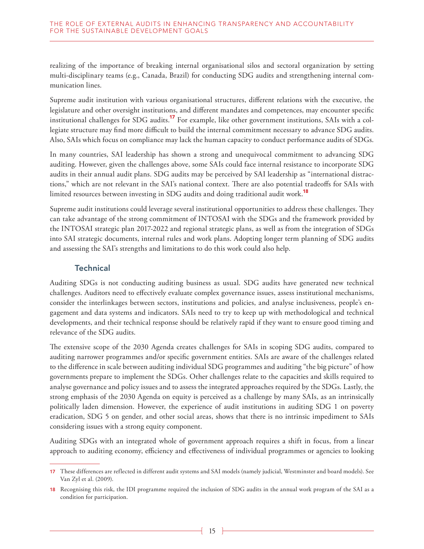realizing of the importance of breaking internal organisational silos and sectoral organization by setting multi-disciplinary teams (e.g., Canada, Brazil) for conducting SDG audits and strengthening internal communication lines.

Supreme audit institution with various organisational structures, different relations with the executive, the legislature and other oversight institutions, and different mandates and competences, may encounter specific institutional challenges for SDG audits.<sup>17</sup> For example, like other government institutions, SAIs with a collegiate structure may find more difficult to build the internal commitment necessary to advance SDG audits. Also, SAIs which focus on compliance may lack the human capacity to conduct performance audits of SDGs.

In many countries, SAI leadership has shown a strong and unequivocal commitment to advancing SDG auditing. However, given the challenges above, some SAIs could face internal resistance to incorporate SDG audits in their annual audit plans. SDG audits may be perceived by SAI leadership as "international distractions," which are not relevant in the SAI's national context. There are also potential tradeoffs for SAIs with limited resources between investing in SDG audits and doing traditional audit work.<sup>18</sup>

Supreme audit institutions could leverage several institutional opportunities to address these challenges. They can take advantage of the strong commitment of INTOSAI with the SDGs and the framework provided by the INTOSAI strategic plan 2017-2022 and regional strategic plans, as well as from the integration of SDGs into SAI strategic documents, internal rules and work plans. Adopting longer term planning of SDG audits and assessing the SAI's strengths and limitations to do this work could also help.

#### Technical

Auditing SDGs is not conducting auditing business as usual. SDG audits have generated new technical challenges. Auditors need to effectively evaluate complex governance issues, assess institutional mechanisms, consider the interlinkages between sectors, institutions and policies, and analyse inclusiveness, people's engagement and data systems and indicators. SAIs need to try to keep up with methodological and technical developments, and their technical response should be relatively rapid if they want to ensure good timing and relevance of the SDG audits.

The extensive scope of the 2030 Agenda creates challenges for SAIs in scoping SDG audits, compared to auditing narrower programmes and/or specific government entities. SAIs are aware of the challenges related to the difference in scale between auditing individual SDG programmes and auditing "the big picture" of how governments prepare to implement the SDGs. Other challenges relate to the capacities and skills required to analyse governance and policy issues and to assess the integrated approaches required by the SDGs. Lastly, the strong emphasis of the 2030 Agenda on equity is perceived as a challenge by many SAIs, as an intrinsically politically laden dimension. However, the experience of audit institutions in auditing SDG 1 on poverty eradication, SDG 5 on gender, and other social areas, shows that there is no intrinsic impediment to SAIs considering issues with a strong equity component.

Auditing SDGs with an integrated whole of government approach requires a shift in focus, from a linear approach to auditing economy, efficiency and effectiveness of individual programmes or agencies to looking

<sup>17</sup> These differences are reflected in different audit systems and SAI models (namely judicial, Westminster and board models). See Van Zyl et al. (2009).

<sup>18</sup> Recognising this risk, the IDI programme required the inclusion of SDG audits in the annual work program of the SAI as a condition for participation.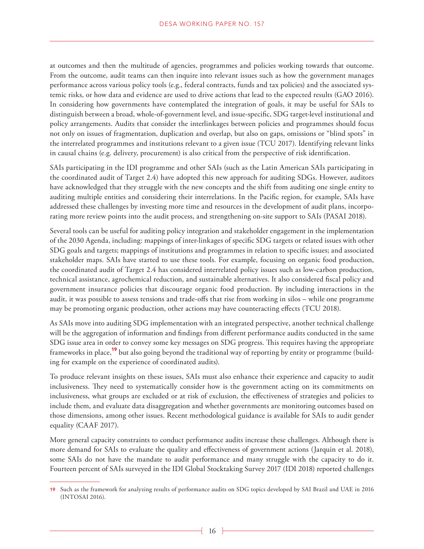at outcomes and then the multitude of agencies, programmes and policies working towards that outcome. From the outcome, audit teams can then inquire into relevant issues such as how the government manages performance across various policy tools (e.g., federal contracts, funds and tax policies) and the associated systemic risks, or how data and evidence are used to drive actions that lead to the expected results (GAO 2016). In considering how governments have contemplated the integration of goals, it may be useful for SAIs to distinguish between a broad, whole-of-government level, and issue-specific, SDG target-level institutional and policy arrangements. Audits that consider the interlinkages between policies and programmes should focus not only on issues of fragmentation, duplication and overlap, but also on gaps, omissions or "blind spots" in the interrelated programmes and institutions relevant to a given issue (TCU 2017). Identifying relevant links in causal chains (e.g. delivery, procurement) is also critical from the perspective of risk identification.

SAIs participating in the IDI programme and other SAIs (such as the Latin American SAIs participating in the coordinated audit of Target 2.4) have adopted this new approach for auditing SDGs. However, auditors have acknowledged that they struggle with the new concepts and the shift from auditing one single entity to auditing multiple entities and considering their interrelations. In the Pacific region, for example, SAIs have addressed these challenges by investing more time and resources in the development of audit plans, incorporating more review points into the audit process, and strengthening on-site support to SAIs (PASAI 2018).

Several tools can be useful for auditing policy integration and stakeholder engagement in the implementation of the 2030 Agenda, including: mappings of inter-linkages of specific SDG targets or related issues with other SDG goals and targets; mappings of institutions and programmes in relation to specific issues; and associated stakeholder maps. SAIs have started to use these tools. For example, focusing on organic food production, the coordinated audit of Target 2.4 has considered interrelated policy issues such as low-carbon production, technical assistance, agrochemical reduction, and sustainable alternatives. It also considered fiscal policy and government insurance policies that discourage organic food production. By including interactions in the audit, it was possible to assess tensions and trade-offs that rise from working in silos – while one programme may be promoting organic production, other actions may have counteracting effects (TCU 2018).

As SAIs move into auditing SDG implementation with an integrated perspective, another technical challenge will be the aggregation of information and findings from different performance audits conducted in the same SDG issue area in order to convey some key messages on SDG progress. This requires having the appropriate frameworks in place,<sup>19</sup> but also going beyond the traditional way of reporting by entity or programme (building for example on the experience of coordinated audits).

To produce relevant insights on these issues, SAIs must also enhance their experience and capacity to audit inclusiveness. They need to systematically consider how is the government acting on its commitments on inclusiveness, what groups are excluded or at risk of exclusion, the effectiveness of strategies and policies to include them, and evaluate data disaggregation and whether governments are monitoring outcomes based on those dimensions, among other issues. Recent methodological guidance is available for SAIs to audit gender equality (CAAF 2017).

More general capacity constraints to conduct performance audits increase these challenges. Although there is more demand for SAIs to evaluate the quality and effectiveness of government actions (Jarquin et al. 2018), some SAIs do not have the mandate to audit performance and many struggle with the capacity to do it. Fourteen percent of SAIs surveyed in the IDI Global Stocktaking Survey 2017 (IDI 2018) reported challenges

<sup>19</sup> Such as the framework for analyzing results of performance audits on SDG topics developed by SAI Brazil and UAE in 2016 (INTOSAI 2016).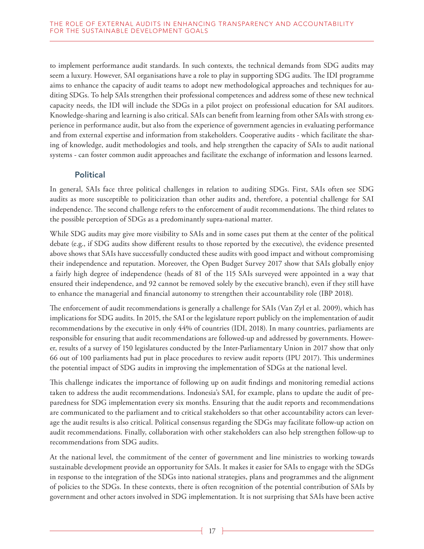to implement performance audit standards. In such contexts, the technical demands from SDG audits may seem a luxury. However, SAI organisations have a role to play in supporting SDG audits. The IDI programme aims to enhance the capacity of audit teams to adopt new methodological approaches and techniques for auditing SDGs. To help SAIs strengthen their professional competences and address some of these new technical capacity needs, the IDI will include the SDGs in a pilot project on professional education for SAI auditors. Knowledge-sharing and learning is also critical. SAIs can benefit from learning from other SAIs with strong experience in performance audit, but also from the experience of government agencies in evaluating performance and from external expertise and information from stakeholders. Cooperative audits - which facilitate the sharing of knowledge, audit methodologies and tools, and help strengthen the capacity of SAIs to audit national systems - can foster common audit approaches and facilitate the exchange of information and lessons learned.

#### Political

In general, SAIs face three political challenges in relation to auditing SDGs. First, SAIs often see SDG audits as more susceptible to politicization than other audits and, therefore, a potential challenge for SAI independence. The second challenge refers to the enforcement of audit recommendations. The third relates to the possible perception of SDGs as a predominantly supra-national matter.

While SDG audits may give more visibility to SAIs and in some cases put them at the center of the political debate (e.g., if SDG audits show different results to those reported by the executive), the evidence presented above shows that SAIs have successfully conducted these audits with good impact and without compromising their independence and reputation. Moreover, the Open Budget Survey 2017 show that SAIs globally enjoy a fairly high degree of independence (heads of 81 of the 115 SAIs surveyed were appointed in a way that ensured their independence, and 92 cannot be removed solely by the executive branch), even if they still have to enhance the managerial and financial autonomy to strengthen their accountability role (IBP 2018).

The enforcement of audit recommendations is generally a challenge for SAIs (Van Zyl et al. 2009), which has implications for SDG audits. In 2015, the SAI or the legislature report publicly on the implementation of audit recommendations by the executive in only 44% of countries (IDI, 2018). In many countries, parliaments are responsible for ensuring that audit recommendations are followed-up and addressed by governments. However, results of a survey of 150 legislatures conducted by the Inter-Parliamentary Union in 2017 show that only 66 out of 100 parliaments had put in place procedures to review audit reports (IPU 2017). This undermines the potential impact of SDG audits in improving the implementation of SDGs at the national level.

This challenge indicates the importance of following up on audit findings and monitoring remedial actions taken to address the audit recommendations. Indonesia's SAI, for example, plans to update the audit of preparedness for SDG implementation every six months. Ensuring that the audit reports and recommendations are communicated to the parliament and to critical stakeholders so that other accountability actors can leverage the audit results is also critical. Political consensus regarding the SDGs may facilitate follow-up action on audit recommendations. Finally, collaboration with other stakeholders can also help strengthen follow-up to recommendations from SDG audits.

At the national level, the commitment of the center of government and line ministries to working towards sustainable development provide an opportunity for SAIs. It makes it easier for SAIs to engage with the SDGs in response to the integration of the SDGs into national strategies, plans and programmes and the alignment of policies to the SDGs. In these contexts, there is often recognition of the potential contribution of SAIs by government and other actors involved in SDG implementation. It is not surprising that SAIs have been active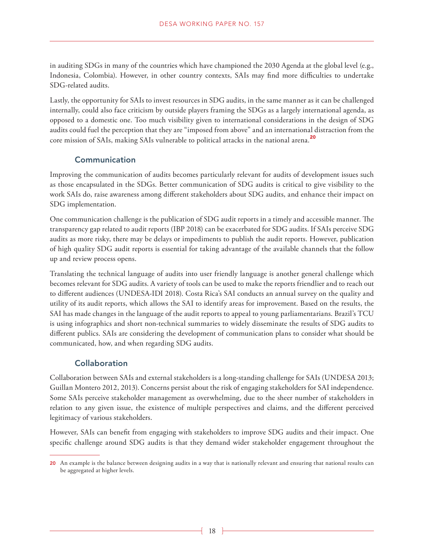in auditing SDGs in many of the countries which have championed the 2030 Agenda at the global level (e.g., Indonesia, Colombia). However, in other country contexts, SAIs may find more difficulties to undertake SDG-related audits.

Lastly, the opportunity for SAIs to invest resources in SDG audits, in the same manner as it can be challenged internally, could also face criticism by outside players framing the SDGs as a largely international agenda, as opposed to a domestic one. Too much visibility given to international considerations in the design of SDG audits could fuel the perception that they are "imposed from above" and an international distraction from the core mission of SAIs, making SAIs vulnerable to political attacks in the national arena.<sup>20</sup>

#### Communication

Improving the communication of audits becomes particularly relevant for audits of development issues such as those encapsulated in the SDGs. Better communication of SDG audits is critical to give visibility to the work SAIs do, raise awareness among different stakeholders about SDG audits, and enhance their impact on SDG implementation.

One communication challenge is the publication of SDG audit reports in a timely and accessible manner. The transparency gap related to audit reports (IBP 2018) can be exacerbated for SDG audits. If SAIs perceive SDG audits as more risky, there may be delays or impediments to publish the audit reports. However, publication of high quality SDG audit reports is essential for taking advantage of the available channels that the follow up and review process opens.

Translating the technical language of audits into user friendly language is another general challenge which becomes relevant for SDG audits. A variety of tools can be used to make the reports friendlier and to reach out to different audiences (UNDESA-IDI 2018). Costa Rica's SAI conducts an annual survey on the quality and utility of its audit reports, which allows the SAI to identify areas for improvement. Based on the results, the SAI has made changes in the language of the audit reports to appeal to young parliamentarians. Brazil's TCU is using infographics and short non-technical summaries to widely disseminate the results of SDG audits to different publics. SAIs are considering the development of communication plans to consider what should be communicated, how, and when regarding SDG audits.

#### Collaboration

Collaboration between SAIs and external stakeholders is a long-standing challenge for SAIs (UNDESA 2013; Guillan Montero 2012, 2013). Concerns persist about the risk of engaging stakeholders for SAI independence. Some SAIs perceive stakeholder management as overwhelming, due to the sheer number of stakeholders in relation to any given issue, the existence of multiple perspectives and claims, and the different perceived legitimacy of various stakeholders.

However, SAIs can benefit from engaging with stakeholders to improve SDG audits and their impact. One specific challenge around SDG audits is that they demand wider stakeholder engagement throughout the

<sup>20</sup> An example is the balance between designing audits in a way that is nationally relevant and ensuring that national results can be aggregated at higher levels.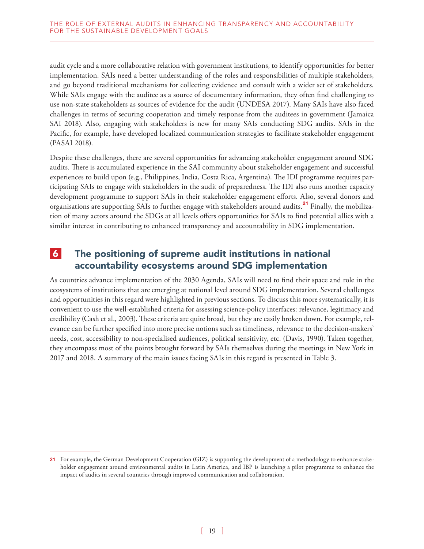audit cycle and a more collaborative relation with government institutions, to identify opportunities for better implementation. SAIs need a better understanding of the roles and responsibilities of multiple stakeholders, and go beyond traditional mechanisms for collecting evidence and consult with a wider set of stakeholders. While SAIs engage with the auditee as a source of documentary information, they often find challenging to use non-state stakeholders as sources of evidence for the audit (UNDESA 2017). Many SAIs have also faced challenges in terms of securing cooperation and timely response from the auditees in government (Jamaica SAI 2018). Also, engaging with stakeholders is new for many SAIs conducting SDG audits. SAIs in the Pacific, for example, have developed localized communication strategies to facilitate stakeholder engagement (PASAI 2018).

Despite these challenges, there are several opportunities for advancing stakeholder engagement around SDG audits. There is accumulated experience in the SAI community about stakeholder engagement and successful experiences to build upon (e.g., Philippines, India, Costa Rica, Argentina). The IDI programme requires participating SAIs to engage with stakeholders in the audit of preparedness. The IDI also runs another capacity development programme to support SAIs in their stakeholder engagement efforts. Also, several donors and organisations are supporting SAIs to further engage with stakeholders around audits.<sup>21</sup> Finally, the mobilization of many actors around the SDGs at all levels offers opportunities for SAIs to find potential allies with a similar interest in contributing to enhanced transparency and accountability in SDG implementation.

### 6 The positioning of supreme audit institutions in national accountability ecosystems around SDG implementation

As countries advance implementation of the 2030 Agenda, SAIs will need to find their space and role in the ecosystems of institutions that are emerging at national level around SDG implementation. Several challenges and opportunities in this regard were highlighted in previous sections. To discuss this more systematically, it is convenient to use the well-established criteria for assessing science-policy interfaces: relevance, legitimacy and credibility (Cash et al., 2003). These criteria are quite broad, but they are easily broken down. For example, relevance can be further specified into more precise notions such as timeliness, relevance to the decision-makers' needs, cost, accessibility to non-specialised audiences, political sensitivity, etc. (Davis, 1990). Taken together, they encompass most of the points brought forward by SAIs themselves during the meetings in New York in 2017 and 2018. A summary of the main issues facing SAIs in this regard is presented in Table 3.

<sup>21</sup> For example, the German Development Cooperation (GIZ) is supporting the development of a methodology to enhance stakeholder engagement around environmental audits in Latin America, and IBP is launching a pilot programme to enhance the impact of audits in several countries through improved communication and collaboration.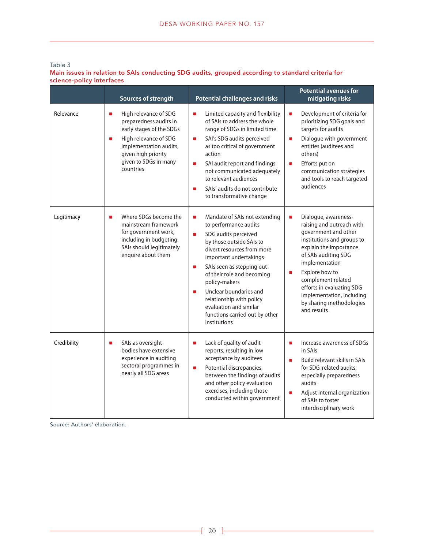#### Table 3 Main issues in relation to SAIs conducting SDG audits, grouped according to standard criteria for science-policy interfaces

|             | Sources of strength                                                                                                                                                                                   | Potential challenges and risks                                                                                                                                                                                                                                                                                                                                                                          | <b>Potential avenues for</b><br>mitigating risks                                                                                                                                                                                                                                                                                                        |
|-------------|-------------------------------------------------------------------------------------------------------------------------------------------------------------------------------------------------------|---------------------------------------------------------------------------------------------------------------------------------------------------------------------------------------------------------------------------------------------------------------------------------------------------------------------------------------------------------------------------------------------------------|---------------------------------------------------------------------------------------------------------------------------------------------------------------------------------------------------------------------------------------------------------------------------------------------------------------------------------------------------------|
| Relevance   | High relevance of SDG<br>п<br>preparedness audits in<br>early stages of the SDGs<br>High relevance of SDG<br>п<br>implementation audits,<br>given high priority<br>given to SDGs in many<br>countries | Limited capacity and flexibility<br>a,<br>of SAIs to address the whole<br>range of SDGs in limited time<br>SAI's SDG audits perceived<br>I.<br>as too critical of government<br>action<br>SAI audit report and findings<br>Ē,<br>not communicated adequately<br>to relevant audiences<br>SAIs' audits do not contribute<br>п<br>to transformative change                                                | Development of criteria for<br>$\blacksquare$<br>prioritizing SDG goals and<br>targets for audits<br>Dialogue with government<br>$\mathcal{L}_{\mathcal{A}}$<br>entities (auditees and<br>others)<br>Efforts put on<br>$\blacksquare$<br>communication strategies<br>and tools to reach targeted<br>audiences                                           |
| Legitimacy  | Where SDGs become the<br>п<br>mainstream framework<br>for government work,<br>including in budgeting,<br>SAIs should legitimately<br>enquire about them                                               | Mandate of SAIs not extending<br>a,<br>to performance audits<br>SDG audits perceived<br>Ì,<br>by those outside SAIs to<br>divert resources from more<br>important undertakings<br>SAIs seen as stepping out<br>п<br>of their role and becoming<br>policy-makers<br>Unclear boundaries and<br>a,<br>relationship with policy<br>evaluation and similar<br>functions carried out by other<br>institutions | Dialogue, awareness-<br>$\mathcal{L}_{\mathcal{A}}$<br>raising and outreach with<br>government and other<br>institutions and groups to<br>explain the importance<br>of SAIs auditing SDG<br>implementation<br>Explore how to<br>complement related<br>efforts in evaluating SDG<br>implementation, including<br>by sharing methodologies<br>and results |
| Credibility | SAIs as oversight<br>п<br>bodies have extensive<br>experience in auditing<br>sectoral programmes in<br>nearly all SDG areas                                                                           | Lack of quality of audit<br>Ē,<br>reports, resulting in low<br>acceptance by auditees<br>Potential discrepancies<br>Ē,<br>between the findings of audits<br>and other policy evaluation<br>exercises, including those<br>conducted within government                                                                                                                                                    | Increase awareness of SDGs<br>п<br>in SAIs<br><b>Build relevant skills in SAIs</b><br>п<br>for SDG-related audits.<br>especially preparedness<br>audits<br>Adjust internal organization<br>$\overline{\phantom{a}}$<br>of SAIs to foster<br>interdisciplinary work                                                                                      |

Source: Authors' elaboration.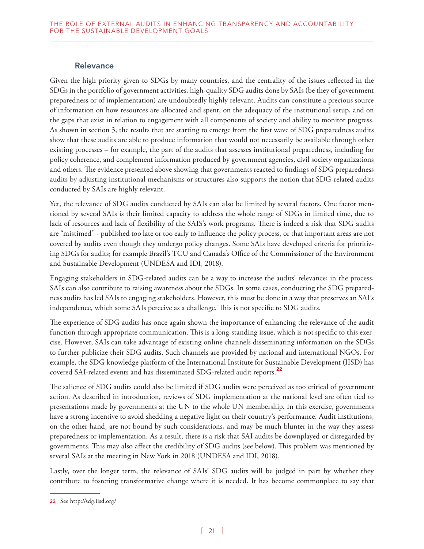#### Relevance

Given the high priority given to SDGs by many countries, and the centrality of the issues reflected in the SDGs in the portfolio of government activities, high-quality SDG audits done by SAIs (be they of government preparedness or of implementation) are undoubtedly highly relevant. Audits can constitute a precious source of information on how resources are allocated and spent, on the adequacy of the institutional setup, and on the gaps that exist in relation to engagement with all components of society and ability to monitor progress. As shown in section 3, the results that are starting to emerge from the first wave of SDG preparedness audits show that these audits are able to produce information that would not necessarily be available through other existing processes – for example, the part of the audits that assesses institutional preparedness, including for policy coherence, and complement information produced by government agencies, civil society organizations and others. The evidence presented above showing that governments reacted to findings of SDG preparedness audits by adjusting institutional mechanisms or structures also supports the notion that SDG-related audits conducted by SAIs are highly relevant.

Yet, the relevance of SDG audits conducted by SAIs can also be limited by several factors. One factor mentioned by several SAIs is their limited capacity to address the whole range of SDGs in limited time, due to lack of resources and lack of flexibility of the SAIS's work programs. There is indeed a risk that SDG audits are "mistimed" - published too late or too early to influence the policy process, or that important areas are not covered by audits even though they undergo policy changes. Some SAIs have developed criteria for prioritizing SDGs for audits; for example Brazil's TCU and Canada's Office of the Commissioner of the Environment and Sustainable Development (UNDESA and IDI, 2018).

Engaging stakeholders in SDG-related audits can be a way to increase the audits' relevance; in the process, SAIs can also contribute to raising awareness about the SDGs. In some cases, conducting the SDG preparedness audits has led SAIs to engaging stakeholders. However, this must be done in a way that preserves an SAI's independence, which some SAIs perceive as a challenge. This is not specific to SDG audits.

The experience of SDG audits has once again shown the importance of enhancing the relevance of the audit function through appropriate communication. This is a long-standing issue, which is not specific to this exercise. However, SAIs can take advantage of existing online channels disseminating information on the SDGs to further publicize their SDG audits. Such channels are provided by national and international NGOs. For example, the SDG knowledge platform of the International Institute for Sustainable Development (IISD) has covered SAI-related events and has disseminated SDG-related audit reports.<sup>22</sup>

The salience of SDG audits could also be limited if SDG audits were perceived as too critical of government action. As described in introduction, reviews of SDG implementation at the national level are often tied to presentations made by governments at the UN to the whole UN membership. In this exercise, governments have a strong incentive to avoid shedding a negative light on their country's performance. Audit institutions, on the other hand, are not bound by such considerations, and may be much blunter in the way they assess preparedness or implementation. As a result, there is a risk that SAI audits be downplayed or disregarded by governments. This may also affect the credibility of SDG audits (see below). This problem was mentioned by several SAIs at the meeting in New York in 2018 (UNDESA and IDI, 2018).

Lastly, over the longer term, the relevance of SAIs' SDG audits will be judged in part by whether they contribute to fostering transformative change where it is needed. It has become commonplace to say that

<sup>22</sup> See http://sdg.iisd.org/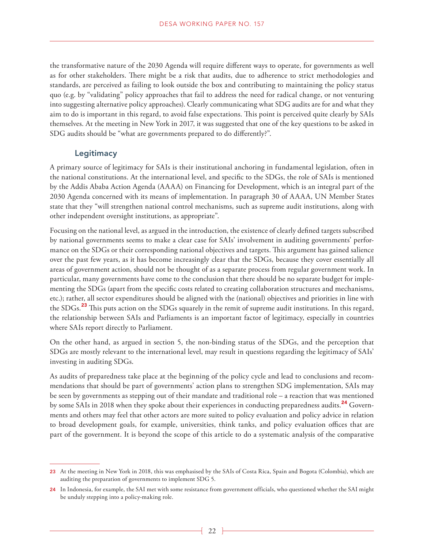the transformative nature of the 2030 Agenda will require different ways to operate, for governments as well as for other stakeholders. There might be a risk that audits, due to adherence to strict methodologies and standards, are perceived as failing to look outside the box and contributing to maintaining the policy status quo (e.g. by "validating" policy approaches that fail to address the need for radical change, or not venturing into suggesting alternative policy approaches). Clearly communicating what SDG audits are for and what they aim to do is important in this regard, to avoid false expectations. This point is perceived quite clearly by SAIs themselves. At the meeting in New York in 2017, it was suggested that one of the key questions to be asked in SDG audits should be "what are governments prepared to do differently?".

#### Legitimacy

A primary source of legitimacy for SAIs is their institutional anchoring in fundamental legislation, often in the national constitutions. At the international level, and specific to the SDGs, the role of SAIs is mentioned by the Addis Ababa Action Agenda (AAAA) on Financing for Development, which is an integral part of the 2030 Agenda concerned with its means of implementation. In paragraph 30 of AAAA, UN Member States state that they "will strengthen national control mechanisms, such as supreme audit institutions, along with other independent oversight institutions, as appropriate".

Focusing on the national level, as argued in the introduction, the existence of clearly defined targets subscribed by national governments seems to make a clear case for SAIs' involvement in auditing governments' performance on the SDGs or their corresponding national objectives and targets. This argument has gained salience over the past few years, as it has become increasingly clear that the SDGs, because they cover essentially all areas of government action, should not be thought of as a separate process from regular government work. In particular, many governments have come to the conclusion that there should be no separate budget for implementing the SDGs (apart from the specific costs related to creating collaboration structures and mechanisms, etc.); rather, all sector expenditures should be aligned with the (national) objectives and priorities in line with the SDGs.<sup>23</sup> This puts action on the SDGs squarely in the remit of supreme audit institutions. In this regard, the relationship between SAIs and Parliaments is an important factor of legitimacy, especially in countries where SAIs report directly to Parliament.

On the other hand, as argued in section 5, the non-binding status of the SDGs, and the perception that SDGs are mostly relevant to the international level, may result in questions regarding the legitimacy of SAIs' investing in auditing SDGs.

As audits of preparedness take place at the beginning of the policy cycle and lead to conclusions and recommendations that should be part of governments' action plans to strengthen SDG implementation, SAIs may be seen by governments as stepping out of their mandate and traditional role – a reaction that was mentioned by some SAIs in 2018 when they spoke about their experiences in conducting preparedness audits.<sup>24</sup> Governments and others may feel that other actors are more suited to policy evaluation and policy advice in relation to broad development goals, for example, universities, think tanks, and policy evaluation offices that are part of the government. It is beyond the scope of this article to do a systematic analysis of the comparative

<sup>23</sup> At the meeting in New York in 2018, this was emphasised by the SAIs of Costa Rica, Spain and Bogota (Colombia), which are auditing the preparation of governments to implement SDG 5.

<sup>24</sup> In Indonesia, for example, the SAI met with some resistance from government officials, who questioned whether the SAI might be unduly stepping into a policy-making role.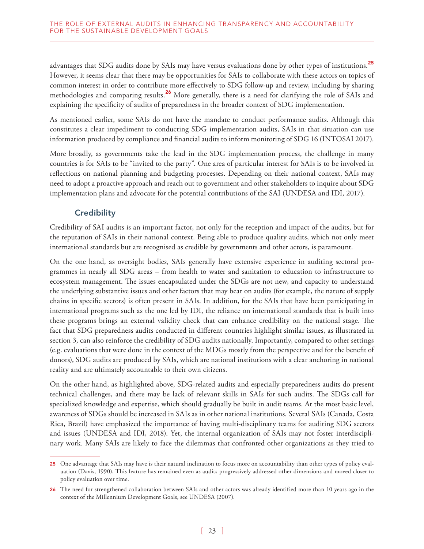advantages that SDG audits done by SAIs may have versus evaluations done by other types of institutions.<sup>25</sup> However, it seems clear that there may be opportunities for SAIs to collaborate with these actors on topics of common interest in order to contribute more effectively to SDG follow-up and review, including by sharing methodologies and comparing results.<sup>26</sup> More generally, there is a need for clarifying the role of SAIs and explaining the specificity of audits of preparedness in the broader context of SDG implementation.

As mentioned earlier, some SAIs do not have the mandate to conduct performance audits. Although this constitutes a clear impediment to conducting SDG implementation audits, SAIs in that situation can use information produced by compliance and financial audits to inform monitoring of SDG 16 (INTOSAI 2017).

More broadly, as governments take the lead in the SDG implementation process, the challenge in many countries is for SAIs to be "invited to the party". One area of particular interest for SAIs is to be involved in reflections on national planning and budgeting processes. Depending on their national context, SAIs may need to adopt a proactive approach and reach out to government and other stakeholders to inquire about SDG implementation plans and advocate for the potential contributions of the SAI (UNDESA and IDI, 2017).

#### **Credibility**

Credibility of SAI audits is an important factor, not only for the reception and impact of the audits, but for the reputation of SAIs in their national context. Being able to produce quality audits, which not only meet international standards but are recognised as credible by governments and other actors, is paramount.

On the one hand, as oversight bodies, SAIs generally have extensive experience in auditing sectoral programmes in nearly all SDG areas – from health to water and sanitation to education to infrastructure to ecosystem management. The issues encapsulated under the SDGs are not new, and capacity to understand the underlying substantive issues and other factors that may bear on audits (for example, the nature of supply chains in specific sectors) is often present in SAIs. In addition, for the SAIs that have been participating in international programs such as the one led by IDI, the reliance on international standards that is built into these programs brings an external validity check that can enhance credibility on the national stage. The fact that SDG preparedness audits conducted in different countries highlight similar issues, as illustrated in section 3, can also reinforce the credibility of SDG audits nationally. Importantly, compared to other settings (e.g. evaluations that were done in the context of the MDGs mostly from the perspective and for the benefit of donors), SDG audits are produced by SAIs, which are national institutions with a clear anchoring in national reality and are ultimately accountable to their own citizens.

On the other hand, as highlighted above, SDG-related audits and especially preparedness audits do present technical challenges, and there may be lack of relevant skills in SAIs for such audits. The SDGs call for specialized knowledge and expertise, which should gradually be built in audit teams. At the most basic level, awareness of SDGs should be increased in SAIs as in other national institutions. Several SAIs (Canada, Costa Rica, Brazil) have emphasized the importance of having multi-disciplinary teams for auditing SDG sectors and issues (UNDESA and IDI, 2018). Yet, the internal organization of SAIs may not foster interdisciplinary work. Many SAIs are likely to face the dilemmas that confronted other organizations as they tried to

<sup>25</sup> One advantage that SAIs may have is their natural inclination to focus more on accountability than other types of policy evaluation (Davis, 1990). This feature has remained even as audits progressively addressed other dimensions and moved closer to policy evaluation over time.

<sup>26</sup> The need for strengthened collaboration between SAIs and other actors was already identified more than 10 years ago in the context of the Millennium Development Goals, see UNDESA (2007).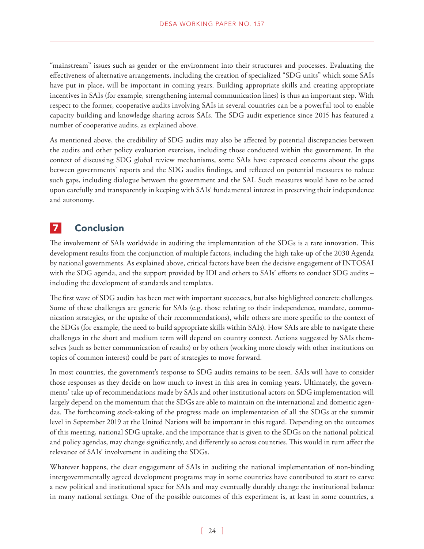"mainstream" issues such as gender or the environment into their structures and processes. Evaluating the effectiveness of alternative arrangements, including the creation of specialized "SDG units" which some SAIs have put in place, will be important in coming years. Building appropriate skills and creating appropriate incentives in SAIs (for example, strengthening internal communication lines) is thus an important step. With respect to the former, cooperative audits involving SAIs in several countries can be a powerful tool to enable capacity building and knowledge sharing across SAIs. The SDG audit experience since 2015 has featured a number of cooperative audits, as explained above.

As mentioned above, the credibility of SDG audits may also be affected by potential discrepancies between the audits and other policy evaluation exercises, including those conducted within the government. In the context of discussing SDG global review mechanisms, some SAIs have expressed concerns about the gaps between governments' reports and the SDG audits findings, and reflected on potential measures to reduce such gaps, including dialogue between the government and the SAI. Such measures would have to be acted upon carefully and transparently in keeping with SAIs' fundamental interest in preserving their independence and autonomy.

## 7 Conclusion

The involvement of SAIs worldwide in auditing the implementation of the SDGs is a rare innovation. This development results from the conjunction of multiple factors, including the high take-up of the 2030 Agenda by national governments. As explained above, critical factors have been the decisive engagement of INTOSAI with the SDG agenda, and the support provided by IDI and others to SAIs' efforts to conduct SDG audits – including the development of standards and templates.

The first wave of SDG audits has been met with important successes, but also highlighted concrete challenges. Some of these challenges are generic for SAIs (e.g. those relating to their independence, mandate, communication strategies, or the uptake of their recommendations), while others are more specific to the context of the SDGs (for example, the need to build appropriate skills within SAIs). How SAIs are able to navigate these challenges in the short and medium term will depend on country context. Actions suggested by SAIs themselves (such as better communication of results) or by others (working more closely with other institutions on topics of common interest) could be part of strategies to move forward.

In most countries, the government's response to SDG audits remains to be seen. SAIs will have to consider those responses as they decide on how much to invest in this area in coming years. Ultimately, the governments' take up of recommendations made by SAIs and other institutional actors on SDG implementation will largely depend on the momentum that the SDGs are able to maintain on the international and domestic agendas. The forthcoming stock-taking of the progress made on implementation of all the SDGs at the summit level in September 2019 at the United Nations will be important in this regard. Depending on the outcomes of this meeting, national SDG uptake, and the importance that is given to the SDGs on the national political and policy agendas, may change significantly, and differently so across countries. This would in turn affect the relevance of SAIs' involvement in auditing the SDGs.

Whatever happens, the clear engagement of SAIs in auditing the national implementation of non-binding intergovernmentally agreed development programs may in some countries have contributed to start to carve a new political and institutional space for SAIs and may eventually durably change the institutional balance in many national settings. One of the possible outcomes of this experiment is, at least in some countries, a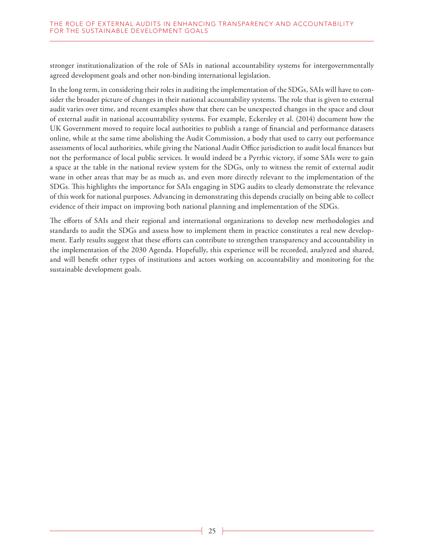stronger institutionalization of the role of SAIs in national accountability systems for intergovernmentally agreed development goals and other non-binding international legislation.

In the long term, in considering their roles in auditing the implementation of the SDGs, SAIs will have to consider the broader picture of changes in their national accountability systems. The role that is given to external audit varies over time, and recent examples show that there can be unexpected changes in the space and clout of external audit in national accountability systems. For example, Eckersley et al. (2014) document how the UK Government moved to require local authorities to publish a range of financial and performance datasets online, while at the same time abolishing the Audit Commission, a body that used to carry out performance assessments of local authorities, while giving the National Audit Office jurisdiction to audit local finances but not the performance of local public services. It would indeed be a Pyrrhic victory, if some SAIs were to gain a space at the table in the national review system for the SDGs, only to witness the remit of external audit wane in other areas that may be as much as, and even more directly relevant to the implementation of the SDGs. This highlights the importance for SAIs engaging in SDG audits to clearly demonstrate the relevance of this work for national purposes. Advancing in demonstrating this depends crucially on being able to collect evidence of their impact on improving both national planning and implementation of the SDGs.

The efforts of SAIs and their regional and international organizations to develop new methodologies and standards to audit the SDGs and assess how to implement them in practice constitutes a real new development. Early results suggest that these efforts can contribute to strengthen transparency and accountability in the implementation of the 2030 Agenda. Hopefully, this experience will be recorded, analyzed and shared, and will benefit other types of institutions and actors working on accountability and monitoring for the sustainable development goals.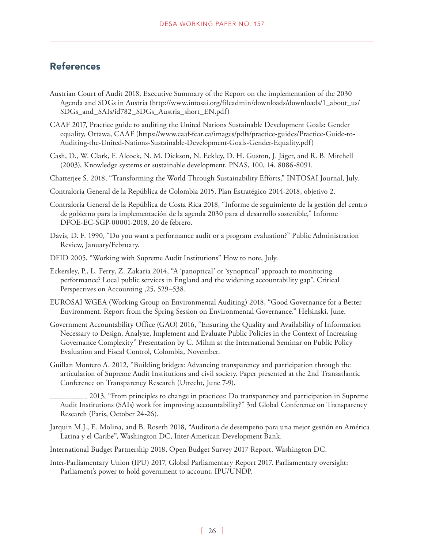### References

- Austrian Court of Audit 2018, Executive Summary of the Report on the implementation of the 2030 Agenda and SDGs in Austria (http://www.intosai.org/fileadmin/downloads/downloads/1\_about\_us/ SDGs\_and\_SAIs/id782\_SDGs\_Austria\_short\_EN.pdf)
- CAAF 2017, Practice guide to auditing the United Nations Sustainable Development Goals: Gender equality, Ottawa, CAAF (https://www.caaf-fcar.ca/images/pdfs/practice-guides/Practice-Guide-to-Auditing-the-United-Nations-Sustainable-Development-Goals-Gender-Equality.pdf)
- Cash, D., W. Clark, F. Alcock, N. M. Dickson, N. Eckley, D. H. Guston, J. Jäger, and R. B. Mitchell (2003), Knowledge systems or sustainable development, PNAS, 100, 14, 8086-8091.
- Chatterjee S. 2018, "Transforming the World Through Sustainability Efforts," INTOSAI Journal, July.
- Contraloria General de la República de Colombia 2015, Plan Estratégico 2014-2018, objetivo 2.
- Contraloria General de la República de Costa Rica 2018, "Informe de seguimiento de la gestión del centro de gobierno para la implementación de la agenda 2030 para el desarrollo sostenible," Informe DFOE-EC-SGP-00001-2018, 20 de febrero.
- Davis, D. F. 1990, "Do you want a performance audit or a program evaluation?" Public Administration Review, January/February.
- DFID 2005, "Working with Supreme Audit Institutions" How to note, July.
- Eckersley, P., L. Ferry, Z. Zakaria 2014, "A 'panoptical' or 'synoptical' approach to monitoring performance? Local public services in England and the widening accountability gap", Critical Perspectives on Accounting ,25, 529–538.
- EUROSAI WGEA (Working Group on Environmental Auditing) 2018, "Good Governance for a Better Environment. Report from the Spring Session on Environmental Governance." Helsinski, June.
- Government Accountability Office (GAO) 2016, "Ensuring the Quality and Availability of Information Necessary to Design, Analyze, Implement and Evaluate Public Policies in the Context of Increasing Governance Complexity" Presentation by C. Mihm at the International Seminar on Public Policy Evaluation and Fiscal Control, Colombia, November.
- Guillan Montero A. 2012, "Building bridges: Advancing transparency and participation through the articulation of Supreme Audit Institutions and civil society. Paper presented at the 2nd Transatlantic Conference on Transparency Research (Utrecht, June 7-9).
	- \_\_\_\_\_\_\_\_\_ 2013, "From principles to change in practices: Do transparency and participation in Supreme Audit Institutions (SAIs) work for improving accountability?" 3rd Global Conference on Transparency Research (Paris, October 24-26).
- Jarquin M.J., E. Molina, and B. Roseth 2018, "Auditoria de desempeño para una mejor gestión en América Latina y el Caribe", Washington DC, Inter-American Development Bank.
- International Budget Partnership 2018, Open Budget Survey 2017 Report, Washington DC.
- Inter-Parliamentary Union (IPU) 2017, Global Parliamentary Report 2017. Parliamentary oversight: Parliament's power to hold government to account, IPU/UNDP.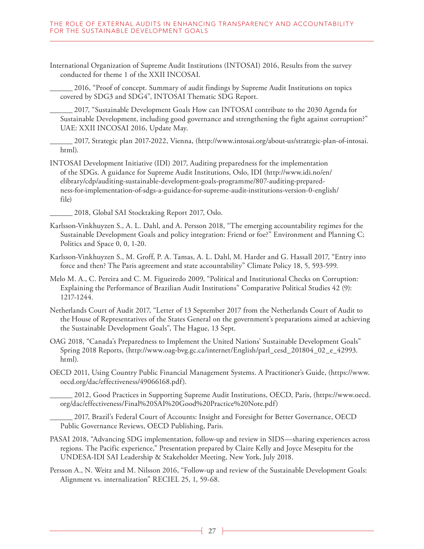International Organization of Supreme Audit Institutions (INTOSAI) 2016, Results from the survey conducted for theme 1 of the XXII INCOSAI.

\_\_\_\_\_\_ 2016, "Proof of concept. Summary of audit findings by Supreme Audit Institutions on topics covered by SDG3 and SDG4", INTOSAI Thematic SDG Report.

2017, "Sustainable Development Goals How can INTOSAI contribute to the 2030 Agenda for Sustainable Development, including good governance and strengthening the fight against corruption?" UAE: XXII INCOSAI 2016, Update May.

\_\_\_\_\_\_ 2017, Strategic plan 2017-2022, Vienna, (http://www.intosai.org/about-us/strategic-plan-of-intosai. html).

INTOSAI Development Initiative (IDI) 2017, Auditing preparedness for the implementation of the SDGs. A guidance for Supreme Audit Institutions, Oslo, IDI (http://www.idi.no/en/ elibrary/cdp/auditing-sustainable-development-goals-programme/807-auditing-preparedness-for-implementation-of-sdgs-a-guidance-for-supreme-audit-institutions-version-0-english/ file)

2018, Global SAI Stocktaking Report 2017, Oslo.

- Karlsson-Vinkhuyzen S., A. L. Dahl, and A. Persson 2018, "The emerging accountability regimes for the Sustainable Development Goals and policy integration: Friend or foe?" Environment and Planning C; Politics and Space 0, 0, 1-20.
- Karlsson-Vinkhuyzen S., M. Groff, P. A. Tamas, A. L. Dahl, M. Harder and G. Hassall 2017, "Entry into force and then? The Paris agreement and state accountability" Climate Policy 18, 5, 593-599.
- Melo M. A., C. Pereira and C. M. Figueiredo 2009, "Political and Institutional Checks on Corruption: Explaining the Performance of Brazilian Audit Institutions" Comparative Political Studies 42 (9): 1217-1244.
- Netherlands Court of Audit 2017, "Letter of 13 September 2017 from the Netherlands Court of Audit to the House of Representatives of the States General on the government's preparations aimed at achieving the Sustainable Development Goals", The Hague, 13 Sept.
- OAG 2018, "Canada's Preparedness to Implement the United Nations' Sustainable Development Goals" Spring 2018 Reports, (http://www.oag-bvg.gc.ca/internet/English/parl\_cesd\_201804\_02\_e\_42993. html).
- OECD 2011, Using Country Public Financial Management Systems. A Practitioner's Guide, (https://www. oecd.org/dac/effectiveness/49066168.pdf).

\_\_\_\_\_\_ 2012, Good Practices in Supporting Supreme Audit Institutions, OECD, Paris, (https://www.oecd. org/dac/effectiveness/Final%20SAI%20Good%20Practice%20Note.pdf)

\_\_\_\_\_\_ 2017, Brazil's Federal Court of Accounts: Insight and Foresight for Better Governance, OECD Public Governance Reviews, OECD Publishing, Paris.

- PASAI 2018, "Advancing SDG implementation, follow-up and review in SIDS—sharing experiences across regions. The Pacific experience," Presentation prepared by Claire Kelly and Joyce Mesepitu for the UNDESA-IDI SAI Leadership & Stakeholder Meeting, New York, July 2018.
- Persson A., N. Weitz and M. Nilsson 2016, "Follow-up and review of the Sustainable Development Goals: Alignment vs. internalization" RECIEL 25, 1, 59-68.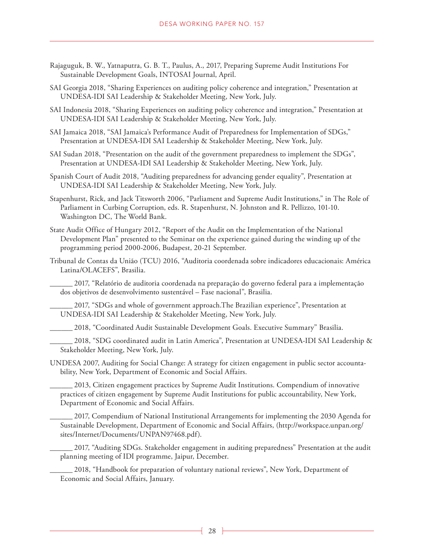- Rajaguguk, B. W., Yatnaputra, G. B. T., Paulus, A., 2017, Preparing Supreme Audit Institutions For Sustainable Development Goals, INTOSAI Journal, April.
- SAI Georgia 2018, "Sharing Experiences on auditing policy coherence and integration," Presentation at UNDESA-IDI SAI Leadership & Stakeholder Meeting, New York, July.
- SAI Indonesia 2018, "Sharing Experiences on auditing policy coherence and integration," Presentation at UNDESA-IDI SAI Leadership & Stakeholder Meeting, New York, July.
- SAI Jamaica 2018, "SAI Jamaica's Performance Audit of Preparedness for Implementation of SDGs," Presentation at UNDESA-IDI SAI Leadership & Stakeholder Meeting, New York, July.
- SAI Sudan 2018, "Presentation on the audit of the government preparedness to implement the SDGs", Presentation at UNDESA-IDI SAI Leadership & Stakeholder Meeting, New York, July.
- Spanish Court of Audit 2018, "Auditing preparedness for advancing gender equality", Presentation at UNDESA-IDI SAI Leadership & Stakeholder Meeting, New York, July.
- Stapenhurst, Rick, and Jack Titsworth 2006, "Parliament and Supreme Audit Institutions," in The Role of Parliament in Curbing Corruption, eds. R. Stapenhurst, N. Johnston and R. Pellizzo, 101-10. Washington DC, The World Bank.
- State Audit Office of Hungary 2012, "Report of the Audit on the Implementation of the National Development Plan" presented to the Seminar on the experience gained during the winding up of the programming period 2000-2006, Budapest, 20-21 September.
- Tribunal de Contas da União (TCU) 2016, "Auditoria coordenada sobre indicadores educacionais: América Latina/OLACEFS", Brasilia.

\_\_\_\_\_\_ 2017, "Relatório de auditoria coordenada na preparação do governo federal para a implementação dos objetivos de desenvolvimento sustentável – Fase nacional", Brasilia.

\_\_\_\_\_\_ 2017, "SDGs and whole of government approach.The Brazilian experience", Presentation at UNDESA-IDI SAI Leadership & Stakeholder Meeting, New York, July.

\_\_\_\_\_\_ 2018, "Coordinated Audit Sustainable Development Goals. Executive Summary" Brasilia.

2018, "SDG coordinated audit in Latin America", Presentation at UNDESA-IDI SAI Leadership & Stakeholder Meeting, New York, July.

UNDESA 2007, Auditing for Social Change: A strategy for citizen engagement in public sector accountability, New York, Department of Economic and Social Affairs.

\_\_\_\_\_\_ 2013, Citizen engagement practices by Supreme Audit Institutions. Compendium of innovative practices of citizen engagement by Supreme Audit Institutions for public accountability, New York, Department of Economic and Social Affairs.

\_\_\_\_\_\_ 2017, Compendium of National Institutional Arrangements for implementing the 2030 Agenda for Sustainable Development, Department of Economic and Social Affairs, (http://workspace.unpan.org/ sites/Internet/Documents/UNPAN97468.pdf).

\_\_\_\_\_\_ 2017, "Auditing SDGs. Stakeholder engagement in auditing preparedness" Presentation at the audit planning meeting of IDI programme, Jaipur, December.

\_\_\_\_\_\_ 2018, "Handbook for preparation of voluntary national reviews", New York, Department of Economic and Social Affairs, January.